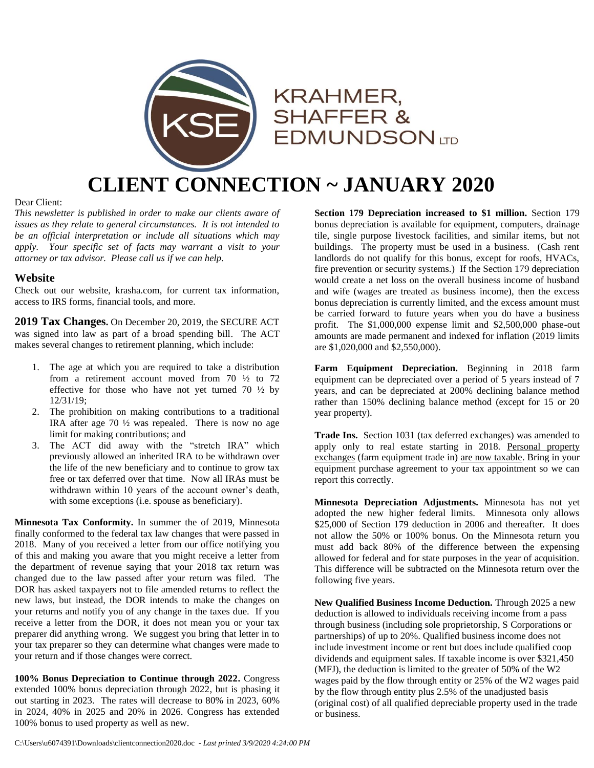

## **CLIENT CONNECTION ~ JANUARY 2020**

#### Dear Client:

*This newsletter is published in order to make our clients aware of issues as they relate to general circumstances. It is not intended to be an official interpretation or include all situations which may apply. Your specific set of facts may warrant a visit to your attorney or tax advisor. Please call us if we can help.*

#### **Website**

Check out our website, krasha.com, for current tax information, access to IRS forms, financial tools, and more.

**2019 Tax Changes.** On December 20, 2019, the SECURE ACT was signed into law as part of a broad spending bill. The ACT makes several changes to retirement planning, which include:

- 1. The age at which you are required to take a distribution from a retirement account moved from 70 ½ to 72 effective for those who have not yet turned 70  $\frac{1}{2}$  by 12/31/19;
- 2. The prohibition on making contributions to a traditional IRA after age 70 ½ was repealed. There is now no age limit for making contributions; and
- 3. The ACT did away with the "stretch IRA" which previously allowed an inherited IRA to be withdrawn over the life of the new beneficiary and to continue to grow tax free or tax deferred over that time. Now all IRAs must be withdrawn within 10 years of the account owner's death, with some exceptions (i.e. spouse as beneficiary).

**Minnesota Tax Conformity.** In summer the of 2019, Minnesota finally conformed to the federal tax law changes that were passed in 2018. Many of you received a letter from our office notifying you of this and making you aware that you might receive a letter from the department of revenue saying that your 2018 tax return was changed due to the law passed after your return was filed. The DOR has asked taxpayers not to file amended returns to reflect the new laws, but instead, the DOR intends to make the changes on your returns and notify you of any change in the taxes due. If you receive a letter from the DOR, it does not mean you or your tax preparer did anything wrong. We suggest you bring that letter in to your tax preparer so they can determine what changes were made to your return and if those changes were correct.

**100% Bonus Depreciation to Continue through 2022.** Congress extended 100% bonus depreciation through 2022, but is phasing it out starting in 2023. The rates will decrease to 80% in 2023, 60% in 2024, 40% in 2025 and 20% in 2026. Congress has extended 100% bonus to used property as well as new.

**Section 179 Depreciation increased to \$1 million.** Section 179 bonus depreciation is available for equipment, computers, drainage tile, single purpose livestock facilities, and similar items, but not buildings. The property must be used in a business. (Cash rent landlords do not qualify for this bonus, except for roofs, HVACs, fire prevention or security systems.) If the Section 179 depreciation would create a net loss on the overall business income of husband and wife (wages are treated as business income), then the excess bonus depreciation is currently limited, and the excess amount must be carried forward to future years when you do have a business profit. The \$1,000,000 expense limit and \$2,500,000 phase-out amounts are made permanent and indexed for inflation (2019 limits are \$1,020,000 and \$2,550,000).

**Farm Equipment Depreciation.** Beginning in 2018 farm equipment can be depreciated over a period of 5 years instead of 7 years, and can be depreciated at 200% declining balance method rather than 150% declining balance method (except for 15 or 20 year property).

**Trade Ins.** Section 1031 (tax deferred exchanges) was amended to apply only to real estate starting in 2018. Personal property exchanges (farm equipment trade in) are now taxable. Bring in your equipment purchase agreement to your tax appointment so we can report this correctly.

**Minnesota Depreciation Adjustments.** Minnesota has not yet adopted the new higher federal limits. Minnesota only allows \$25,000 of Section 179 deduction in 2006 and thereafter. It does not allow the 50% or 100% bonus. On the Minnesota return you must add back 80% of the difference between the expensing allowed for federal and for state purposes in the year of acquisition. This difference will be subtracted on the Minnesota return over the following five years.

**New Qualified Business Income Deduction.** Through 2025 a new deduction is allowed to individuals receiving income from a pass through business (including sole proprietorship, S Corporations or partnerships) of up to 20%. Qualified business income does not include investment income or rent but does include qualified coop dividends and equipment sales. If taxable income is over \$321,450 (MFJ), the deduction is limited to the greater of 50% of the W2 wages paid by the flow through entity or 25% of the W2 wages paid by the flow through entity plus 2.5% of the unadjusted basis (original cost) of all qualified depreciable property used in the trade or business.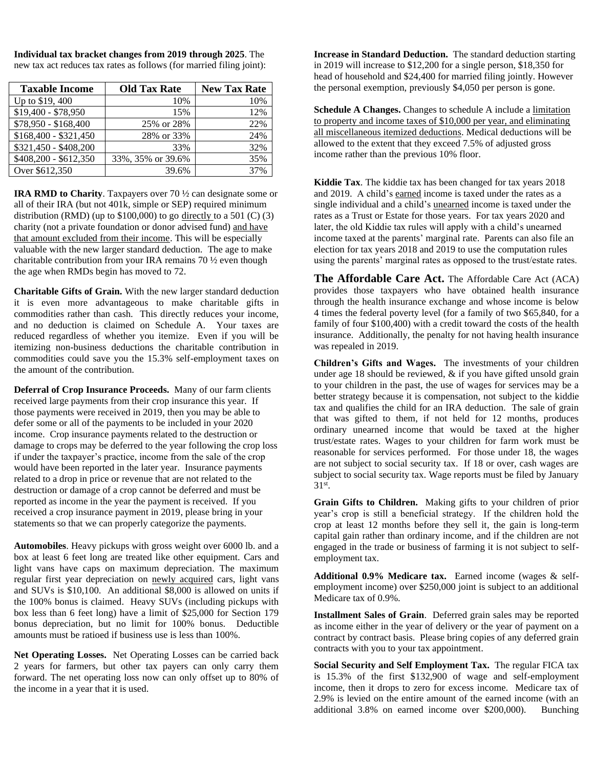**Individual tax bracket changes from 2019 through 2025**. The new tax act reduces tax rates as follows (for married filing joint):

| <b>Taxable Income</b> | <b>Old Tax Rate</b> | <b>New Tax Rate</b> |
|-----------------------|---------------------|---------------------|
| Up to \$19, 400       | 10%                 | 10%                 |
| \$19,400 - \$78,950   | 15%                 | 12%                 |
| \$78,950 - \$168,400  | 25% or 28%          | 22%                 |
| $$168,400 - $321,450$ | 28% or 33%          | 24%                 |
| \$321,450 - \$408,200 | 33%                 | 32%                 |
| \$408,200 - \$612,350 | 33%, 35% or 39.6%   | 35%                 |
| Over \$612,350        | 39.6%               | 37%                 |

**IRA RMD to Charity**. Taxpayers over 70 ½ can designate some or all of their IRA (but not 401k, simple or SEP) required minimum distribution (RMD) (up to  $$100,000$ ) to go directly to a 501 (C) (3) charity (not a private foundation or donor advised fund) and have that amount excluded from their income. This will be especially valuable with the new larger standard deduction. The age to make charitable contribution from your IRA remains 70 ½ even though the age when RMDs begin has moved to 72.

**Charitable Gifts of Grain.** With the new larger standard deduction it is even more advantageous to make charitable gifts in commodities rather than cash. This directly reduces your income, and no deduction is claimed on Schedule A. Your taxes are reduced regardless of whether you itemize. Even if you will be itemizing non-business deductions the charitable contribution in commodities could save you the 15.3% self-employment taxes on the amount of the contribution.

**Deferral of Crop Insurance Proceeds.** Many of our farm clients received large payments from their crop insurance this year. If those payments were received in 2019, then you may be able to defer some or all of the payments to be included in your 2020 income. Crop insurance payments related to the destruction or damage to crops may be deferred to the year following the crop loss if under the taxpayer's practice, income from the sale of the crop would have been reported in the later year. Insurance payments related to a drop in price or revenue that are not related to the destruction or damage of a crop cannot be deferred and must be reported as income in the year the payment is received. If you received a crop insurance payment in 2019, please bring in your statements so that we can properly categorize the payments.

**Automobiles**. Heavy pickups with gross weight over 6000 lb. and a box at least 6 feet long are treated like other equipment. Cars and light vans have caps on maximum depreciation. The maximum regular first year depreciation on newly acquired cars, light vans and SUVs is \$10,100. An additional \$8,000 is allowed on units if the 100% bonus is claimed. Heavy SUVs (including pickups with box less than 6 feet long) have a limit of \$25,000 for Section 179 bonus depreciation, but no limit for 100% bonus. Deductible amounts must be ratioed if business use is less than 100%.

**Net Operating Losses.** Net Operating Losses can be carried back 2 years for farmers, but other tax payers can only carry them forward. The net operating loss now can only offset up to 80% of the income in a year that it is used.

**Increase in Standard Deduction.** The standard deduction starting in 2019 will increase to \$12,200 for a single person, \$18,350 for head of household and \$24,400 for married filing jointly. However the personal exemption, previously \$4,050 per person is gone.

**Schedule A Changes.** Changes to schedule A include a limitation to property and income taxes of \$10,000 per year, and eliminating all miscellaneous itemized deductions. Medical deductions will be allowed to the extent that they exceed 7.5% of adjusted gross income rather than the previous 10% floor.

**Kiddie Tax**. The kiddie tax has been changed for tax years 2018 and 2019. A child's earned income is taxed under the rates as a single individual and a child's unearned income is taxed under the rates as a Trust or Estate for those years. For tax years 2020 and later, the old Kiddie tax rules will apply with a child's unearned income taxed at the parents' marginal rate. Parents can also file an election for tax years 2018 and 2019 to use the computation rules using the parents' marginal rates as opposed to the trust/estate rates.

**The Affordable Care Act.** The Affordable Care Act (ACA) provides those taxpayers who have obtained health insurance through the health insurance exchange and whose income is below 4 times the federal poverty level (for a family of two \$65,840, for a family of four \$100,400) with a credit toward the costs of the health insurance. Additionally, the penalty for not having health insurance was repealed in 2019.

**Children's Gifts and Wages.** The investments of your children under age 18 should be reviewed, & if you have gifted unsold grain to your children in the past, the use of wages for services may be a better strategy because it is compensation, not subject to the kiddie tax and qualifies the child for an IRA deduction. The sale of grain that was gifted to them, if not held for 12 months, produces ordinary unearned income that would be taxed at the higher trust/estate rates. Wages to your children for farm work must be reasonable for services performed. For those under 18, the wages are not subject to social security tax. If 18 or over, cash wages are subject to social security tax. Wage reports must be filed by January 31st .

**Grain Gifts to Children.** Making gifts to your children of prior year's crop is still a beneficial strategy. If the children hold the crop at least 12 months before they sell it, the gain is long-term capital gain rather than ordinary income, and if the children are not engaged in the trade or business of farming it is not subject to selfemployment tax.

**Additional 0.9% Medicare tax.** Earned income (wages & selfemployment income) over \$250,000 joint is subject to an additional Medicare tax of 0.9%.

**Installment Sales of Grain**. Deferred grain sales may be reported as income either in the year of delivery or the year of payment on a contract by contract basis. Please bring copies of any deferred grain contracts with you to your tax appointment.

**Social Security and Self Employment Tax.** The regular FICA tax is 15.3% of the first \$132,900 of wage and self-employment income, then it drops to zero for excess income. Medicare tax of 2.9% is levied on the entire amount of the earned income (with an additional 3.8% on earned income over \$200,000). Bunching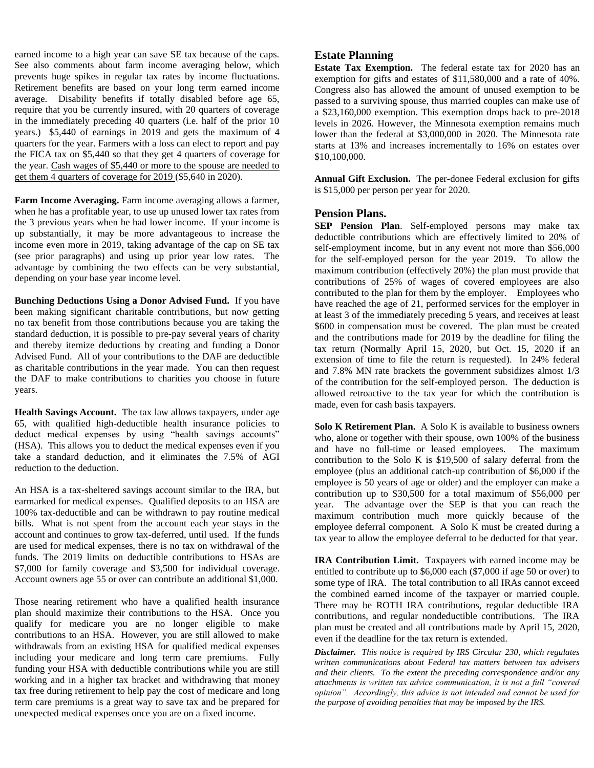earned income to a high year can save SE tax because of the caps. See also comments about farm income averaging below, which prevents huge spikes in regular tax rates by income fluctuations. Retirement benefits are based on your long term earned income average. Disability benefits if totally disabled before age 65, require that you be currently insured, with 20 quarters of coverage in the immediately preceding 40 quarters (i.e. half of the prior 10 years.) \$5,440 of earnings in 2019 and gets the maximum of 4 quarters for the year. Farmers with a loss can elect to report and pay the FICA tax on \$5,440 so that they get 4 quarters of coverage for the year. Cash wages of \$5,440 or more to the spouse are needed to get them 4 quarters of coverage for 2019 (\$5,640 in 2020).

**Farm Income Averaging.** Farm income averaging allows a farmer, when he has a profitable year, to use up unused lower tax rates from the 3 previous years when he had lower income. If your income is up substantially, it may be more advantageous to increase the income even more in 2019, taking advantage of the cap on SE tax (see prior paragraphs) and using up prior year low rates. The advantage by combining the two effects can be very substantial, depending on your base year income level.

**Bunching Deductions Using a Donor Advised Fund.** If you have been making significant charitable contributions, but now getting no tax benefit from those contributions because you are taking the standard deduction, it is possible to pre-pay several years of charity and thereby itemize deductions by creating and funding a Donor Advised Fund. All of your contributions to the DAF are deductible as charitable contributions in the year made. You can then request the DAF to make contributions to charities you choose in future years.

**Health Savings Account.** The tax law allows taxpayers, under age 65, with qualified high-deductible health insurance policies to deduct medical expenses by using "health savings accounts" (HSA). This allows you to deduct the medical expenses even if you take a standard deduction, and it eliminates the 7.5% of AGI reduction to the deduction.

An HSA is a tax-sheltered savings account similar to the IRA, but earmarked for medical expenses. Qualified deposits to an HSA are 100% tax-deductible and can be withdrawn to pay routine medical bills. What is not spent from the account each year stays in the account and continues to grow tax-deferred, until used. If the funds are used for medical expenses, there is no tax on withdrawal of the funds. The 2019 limits on deductible contributions to HSAs are \$7,000 for family coverage and \$3,500 for individual coverage. Account owners age 55 or over can contribute an additional \$1,000.

Those nearing retirement who have a qualified health insurance plan should maximize their contributions to the HSA. Once you qualify for medicare you are no longer eligible to make contributions to an HSA. However, you are still allowed to make withdrawals from an existing HSA for qualified medical expenses including your medicare and long term care premiums. Fully funding your HSA with deductible contributions while you are still working and in a higher tax bracket and withdrawing that money tax free during retirement to help pay the cost of medicare and long term care premiums is a great way to save tax and be prepared for unexpected medical expenses once you are on a fixed income.

### **Estate Planning**

**Estate Tax Exemption.** The federal estate tax for 2020 has an exemption for gifts and estates of \$11,580,000 and a rate of 40%. Congress also has allowed the amount of unused exemption to be passed to a surviving spouse, thus married couples can make use of a \$23,160,000 exemption. This exemption drops back to pre-2018 levels in 2026. However, the Minnesota exemption remains much lower than the federal at \$3,000,000 in 2020. The Minnesota rate starts at 13% and increases incrementally to 16% on estates over \$10,100,000.

**Annual Gift Exclusion.** The per-donee Federal exclusion for gifts is \$15,000 per person per year for 2020.

#### **Pension Plans.**

**SEP Pension Plan**. Self-employed persons may make tax deductible contributions which are effectively limited to 20% of self-employment income, but in any event not more than \$56,000 for the self-employed person for the year 2019. To allow the maximum contribution (effectively 20%) the plan must provide that contributions of 25% of wages of covered employees are also contributed to the plan for them by the employer. Employees who have reached the age of 21, performed services for the employer in at least 3 of the immediately preceding 5 years, and receives at least \$600 in compensation must be covered. The plan must be created and the contributions made for 2019 by the deadline for filing the tax return (Normally April 15, 2020, but Oct. 15, 2020 if an extension of time to file the return is requested). In 24% federal and 7.8% MN rate brackets the government subsidizes almost 1/3 of the contribution for the self-employed person. The deduction is allowed retroactive to the tax year for which the contribution is made, even for cash basis taxpayers.

**Solo K Retirement Plan.** A Solo K is available to business owners who, alone or together with their spouse, own 100% of the business and have no full-time or leased employees. The maximum contribution to the Solo K is \$19,500 of salary deferral from the employee (plus an additional catch-up contribution of \$6,000 if the employee is 50 years of age or older) and the employer can make a contribution up to \$30,500 for a total maximum of \$56,000 per year. The advantage over the SEP is that you can reach the maximum contribution much more quickly because of the employee deferral component. A Solo K must be created during a tax year to allow the employee deferral to be deducted for that year.

**IRA Contribution Limit.** Taxpayers with earned income may be entitled to contribute up to \$6,000 each (\$7,000 if age 50 or over) to some type of IRA. The total contribution to all IRAs cannot exceed the combined earned income of the taxpayer or married couple. There may be ROTH IRA contributions, regular deductible IRA contributions, and regular nondeductible contributions. The IRA plan must be created and all contributions made by April 15, 2020, even if the deadline for the tax return is extended.

*Disclaimer. This notice is required by IRS Circular 230, which regulates written communications about Federal tax matters between tax advisers and their clients. To the extent the preceding correspondence and/or any attachments is written tax advice communication, it is not a full "covered opinion". Accordingly, this advice is not intended and cannot be used for the purpose of avoiding penalties that may be imposed by the IRS.*